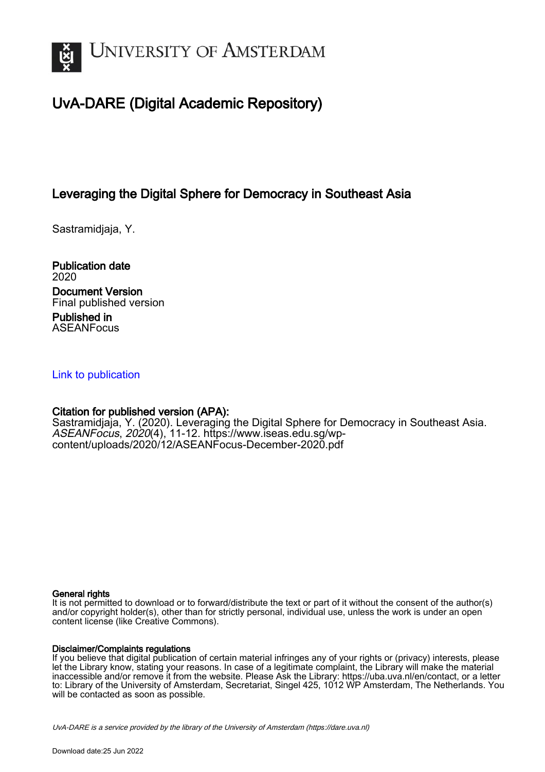

# UvA-DARE (Digital Academic Repository)

## Leveraging the Digital Sphere for Democracy in Southeast Asia

Sastramidjaja, Y.

Publication date 2020 Document Version Final published version Published in

ASEANFocus

### [Link to publication](https://dare.uva.nl/personal/pure/en/publications/leveraging-the-digital-sphere-for-democracy-in-southeast-asia(87444b26-b9ba-4519-b745-02968100e927).html)

## Citation for published version (APA):

Sastramidjaja, Y. (2020). Leveraging the Digital Sphere for Democracy in Southeast Asia. ASEANFocus, 2020(4), 11-12. [https://www.iseas.edu.sg/wp](https://www.iseas.edu.sg/wp-content/uploads/2020/12/ASEANFocus-December-2020.pdf)[content/uploads/2020/12/ASEANFocus-December-2020.pdf](https://www.iseas.edu.sg/wp-content/uploads/2020/12/ASEANFocus-December-2020.pdf)

#### General rights

It is not permitted to download or to forward/distribute the text or part of it without the consent of the author(s) and/or copyright holder(s), other than for strictly personal, individual use, unless the work is under an open content license (like Creative Commons).

#### Disclaimer/Complaints regulations

If you believe that digital publication of certain material infringes any of your rights or (privacy) interests, please let the Library know, stating your reasons. In case of a legitimate complaint, the Library will make the material inaccessible and/or remove it from the website. Please Ask the Library: https://uba.uva.nl/en/contact, or a letter to: Library of the University of Amsterdam, Secretariat, Singel 425, 1012 WP Amsterdam, The Netherlands. You will be contacted as soon as possible.

UvA-DARE is a service provided by the library of the University of Amsterdam (http*s*://dare.uva.nl)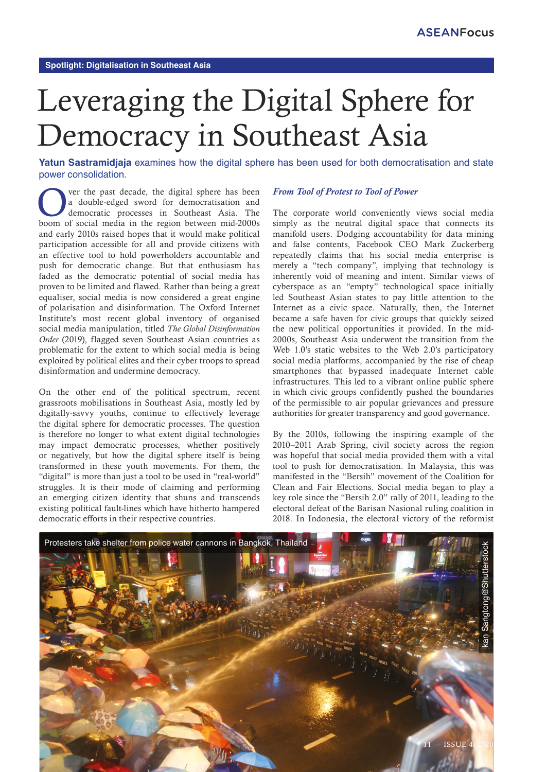# Leveraging the Digital Sphere for Democracy in Southeast Asia

**Yatun Sastramidjaja** examines how the digital sphere has been used for both democratisation and state power consolidation.

Over the past decade, the digital sphere has been<br>
a double-edged sword for democratisation and<br>
democratic processes in Southeast Asia. The<br>
beem of social madia in the region between mid 2000s a double-edged sword for democratisation and boom of social media in the region between mid-2000s and early 2010s raised hopes that it would make political participation accessible for all and provide citizens with an effective tool to hold powerholders accountable and push for democratic change. But that enthusiasm has faded as the democratic potential of social media has proven to be limited and flawed. Rather than being a great equaliser, social media is now considered a great engine of polarisation and disinformation. The Oxford Internet Institute's most recent global inventory of organised social media manipulation, titled *The Global Disinformation Order* (2019), flagged seven Southeast Asian countries as problematic for the extent to which social media is being exploited by political elites and their cyber troops to spread disinformation and undermine democracy.

On the other end of the political spectrum, recent grassroots mobilisations in Southeast Asia, mostly led by digitally-savvy youths, continue to effectively leverage the digital sphere for democratic processes. The question is therefore no longer to what extent digital technologies may impact democratic processes, whether positively or negatively, but how the digital sphere itself is being transformed in these youth movements. For them, the "digital" is more than just a tool to be used in "real-world" struggles. It is their mode of claiming and performing an emerging citizen identity that shuns and transcends existing political fault-lines which have hitherto hampered democratic efforts in their respective countries.

#### *From Tool of Protest to Tool of Power*

The corporate world conveniently views social media simply as the neutral digital space that connects its manifold users. Dodging accountability for data mining and false contents, Facebook CEO Mark Zuckerberg repeatedly claims that his social media enterprise is merely a "tech company", implying that technology is inherently void of meaning and intent. Similar views of cyberspace as an "empty" technological space initially led Southeast Asian states to pay little attention to the Internet as a civic space. Naturally, then, the Internet became a safe haven for civic groups that quickly seized the new political opportunities it provided. In the mid-2000s, Southeast Asia underwent the transition from the Web 1.0's static websites to the Web 2.0's participatory social media platforms, accompanied by the rise of cheap smartphones that bypassed inadequate Internet cable infrastructures. This led to a vibrant online public sphere in which civic groups confidently pushed the boundaries of the permissible to air popular grievances and pressure authorities for greater transparency and good governance.

By the 2010s, following the inspiring example of the 2010–2011 Arab Spring, civil society across the region was hopeful that social media provided them with a vital tool to push for democratisation. In Malaysia, this was manifested in the "Bersih" movement of the Coalition for Clean and Fair Elections. Social media began to play a key role since the "Bersih 2.0" rally of 2011, leading to the electoral defeat of the Barisan Nasional ruling coalition in 2018. In Indonesia, the electoral victory of the reformist